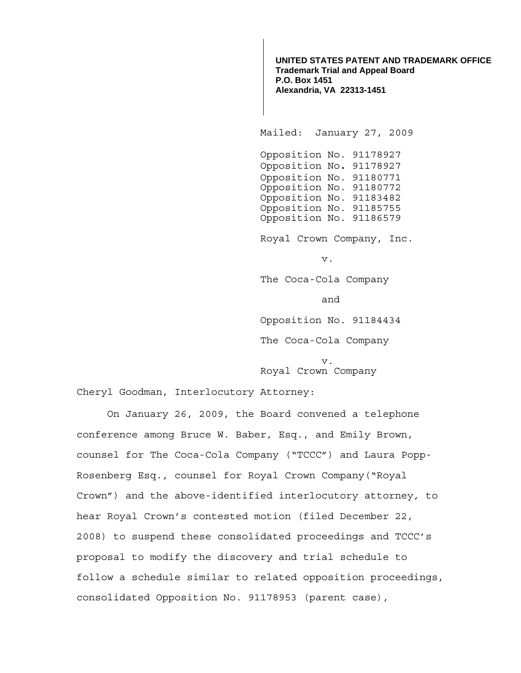**UNITED STATES PATENT AND TRADEMARK OFFICE Trademark Trial and Appeal Board P.O. Box 1451 Alexandria, VA 22313-1451**

Mailed: January 27, 2009

 Opposition No. 91178927 Opposition No**.** 91178927 Opposition No. 91180771 Opposition No. 91180772 Opposition No. 91183482 Opposition No. 91185755 Opposition No. 91186579

Royal Crown Company, Inc.

v.

The Coca-Cola Company

and

Opposition No. 91184434

The Coca-Cola Company

v. Royal Crown Company

Cheryl Goodman, Interlocutory Attorney:

On January 26, 2009, the Board convened a telephone conference among Bruce W. Baber, Esq., and Emily Brown, counsel for The Coca-Cola Company ("TCCC") and Laura Popp-Rosenberg Esq., counsel for Royal Crown Company("Royal Crown") and the above-identified interlocutory attorney, to hear Royal Crown's contested motion (filed December 22, 2008) to suspend these consolidated proceedings and TCCC's proposal to modify the discovery and trial schedule to follow a schedule similar to related opposition proceedings, consolidated Opposition No. 91178953 (parent case),